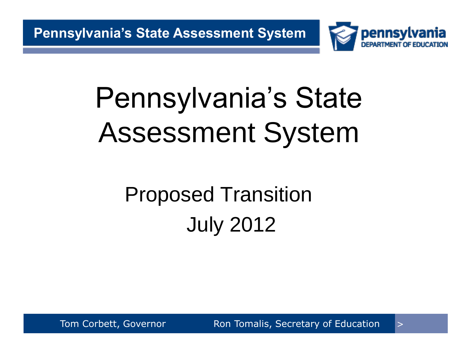

# Proposed Transition July 2012

Tom Corbett, Governor **Ron Tomalis, Secretary of Education**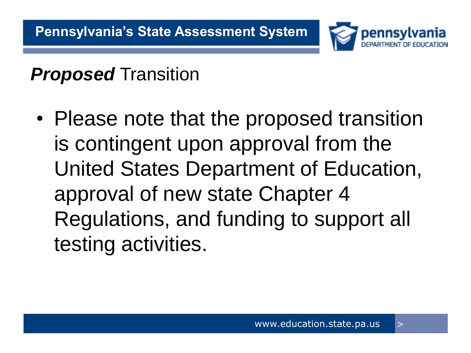

### *Proposed* Transition

• Please note that the proposed transition is contingent upon approval from the United States Department of Education, approval of new state Chapter 4 Regulations, and funding to support all testing activities.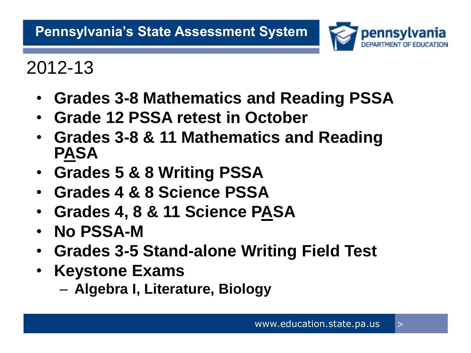

2012-13

- **Grades 3-8 Mathematics and Reading PSSA**
- **Grade 12 PSSA retest in October**
- **Grades 3-8 & 11 Mathematics and Reading PASA**
- **Grades 5 & 8 Writing PSSA**
- **Grades 4 & 8 Science PSSA**
- **Grades 4, 8 & 11 Science PASA**
- **No PSSA-M**
- **Grades 3-5 Stand-alone Writing Field Test**
- **Keystone Exams**

– **Algebra I, Literature, Biology**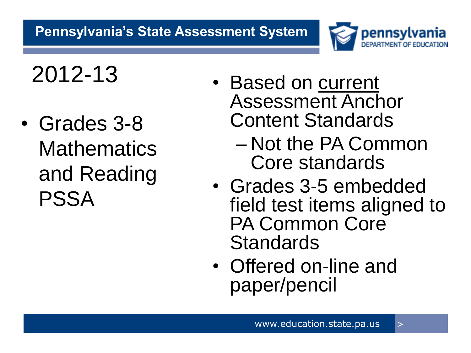

- Grades 3-8 **Mathematics** and Reading PSSA
- 2012-13 Based on current Assessment Anchor Content Standards
	- Not the PA Common Core standards
	- Grades 3-5 embedded field test items aligned to PA Common Core **Standards**
	- Offered on-line and paper/pencil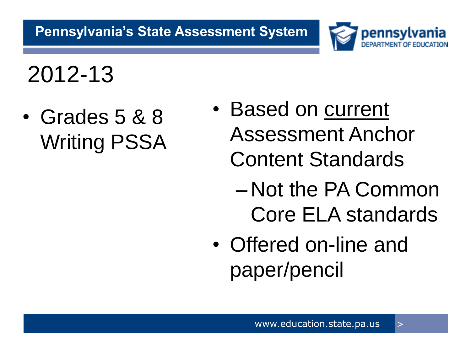

2012-13

• Grades 5 & 8 Writing PSSA

- Based on current Assessment Anchor Content Standards
	- Not the PA Common Core ELA standards
- Offered on-line and paper/pencil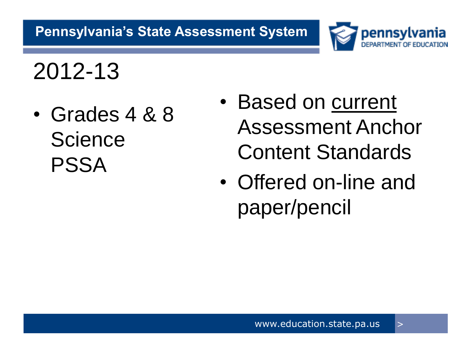

2012-13

• Grades 4 & 8 **Science** PSSA

- Based on current Assessment Anchor Content Standards
- Offered on-line and paper/pencil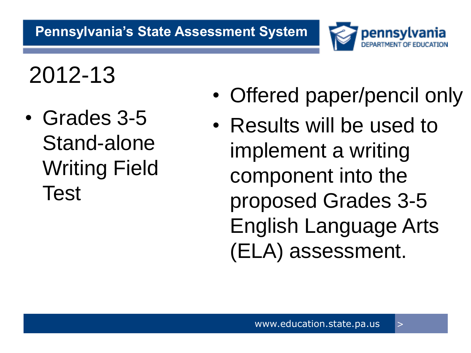

2012-13

• Grades 3-5 Stand-alone Writing Field Test

- Offered paper/pencil only
- Results will be used to implement a writing component into the proposed Grades 3-5 English Language Arts (ELA) assessment.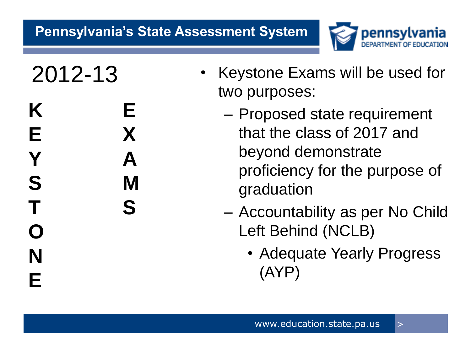

**K E E X Y A S M T S O N E**

- 2012-13 Keystone Exams will be used for two purposes:
	- Proposed state requirement that the class of 2017 and beyond demonstrate proficiency for the purpose of graduation
	- Accountability as per No Child Left Behind (NCLB)
		- Adequate Yearly Progress (AYP)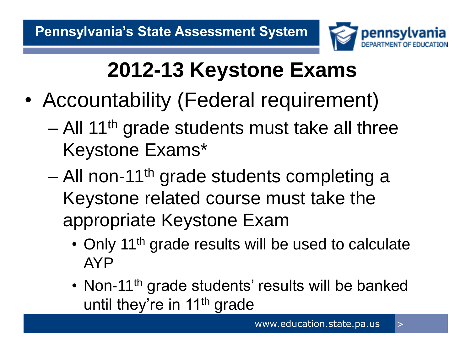

## **2012-13 Keystone Exams**

- Accountability (Federal requirement)
	- All 11<sup>th</sup> grade students must take all three Keystone Exams\*
	- $-$  All non-11<sup>th</sup> grade students completing a Keystone related course must take the appropriate Keystone Exam
		- Only 11<sup>th</sup> grade results will be used to calculate AYP
		- Non-11<sup>th</sup> grade students' results will be banked until they're in 11<sup>th</sup> grade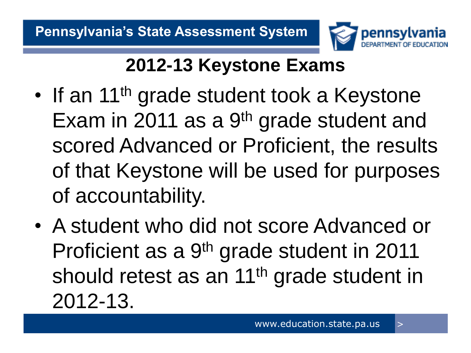

### **2012-13 Keystone Exams**

- If an 11<sup>th</sup> grade student took a Keystone Exam in 2011 as a 9<sup>th</sup> grade student and scored Advanced or Proficient, the results of that Keystone will be used for purposes of accountability.
- A student who did not score Advanced or Proficient as a 9th grade student in 2011 should retest as an 11<sup>th</sup> grade student in 2012-13.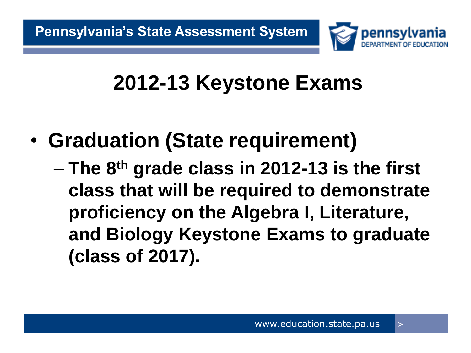

### **2012-13 Keystone Exams**

- **Graduation (State requirement)**
	- **The 8th grade class in 2012-13 is the first class that will be required to demonstrate proficiency on the Algebra I, Literature, and Biology Keystone Exams to graduate (class of 2017).**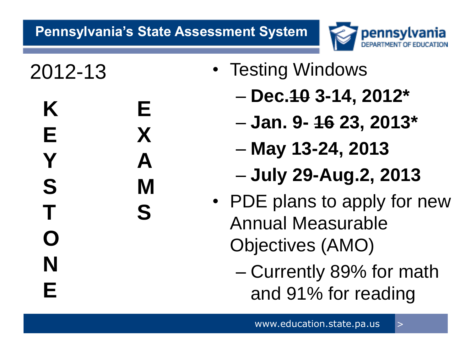

**O**

**N**

**E**

- **K E E X Y A S M T S**
- 2012-13 Testing Windows
	- **Dec.10 3-14, 2012\***
	- **Jan. 9- 16 23, 2013\***
	- **May 13-24, 2013**
	- **July 29-Aug.2, 2013**
	- PDE plans to apply for new Annual Measurable Objectives (AMO)
		- Currently 89% for math and 91% for reading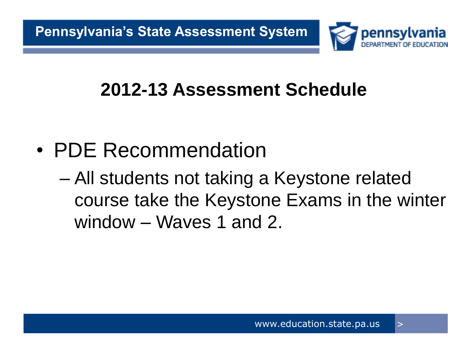

- PDE Recommendation
	- All students not taking a Keystone related course take the Keystone Exams in the winter window – Waves 1 and 2.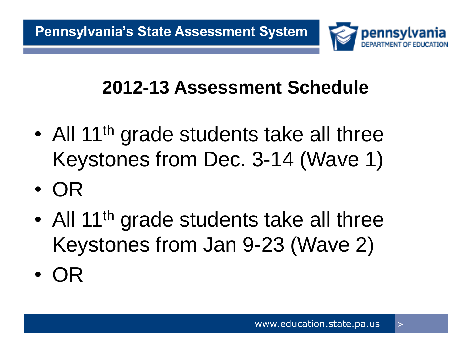

- All 11<sup>th</sup> grade students take all three Keystones from Dec. 3-14 (Wave 1)
- OR
- All 11<sup>th</sup> grade students take all three Keystones from Jan 9-23 (Wave 2)
- OR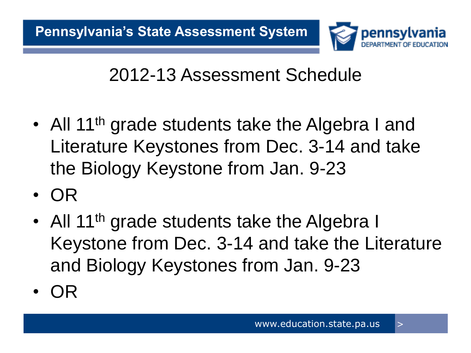

- All 11<sup>th</sup> grade students take the Algebra I and Literature Keystones from Dec. 3-14 and take the Biology Keystone from Jan. 9-23
- OR
- All 11<sup>th</sup> grade students take the Algebra I Keystone from Dec. 3-14 and take the Literature and Biology Keystones from Jan. 9-23
- OR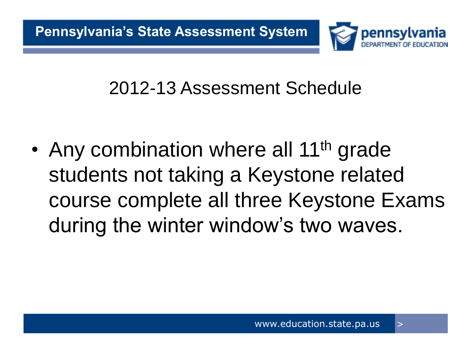

• Any combination where all 11<sup>th</sup> grade students not taking a Keystone related course complete all three Keystone Exams during the winter window's two waves.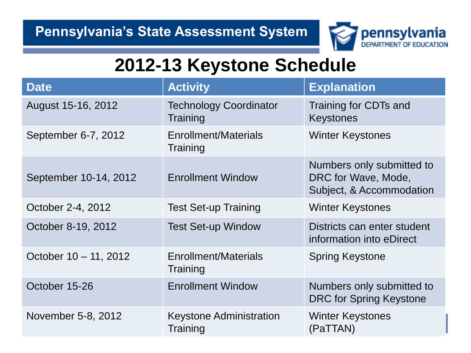

### **2012-13 Keystone Schedule**

| <b>Date</b>           | <b>Activity</b>                            | <b>Explanation</b>                                                           |
|-----------------------|--------------------------------------------|------------------------------------------------------------------------------|
| August 15-16, 2012    | <b>Technology Coordinator</b><br>Training  | Training for CDTs and<br><b>Keystones</b>                                    |
| September 6-7, 2012   | Enrollment/Materials<br>Training           | <b>Winter Keystones</b>                                                      |
| September 10-14, 2012 | <b>Enrollment Window</b>                   | Numbers only submitted to<br>DRC for Wave, Mode,<br>Subject, & Accommodation |
| October 2-4, 2012     | <b>Test Set-up Training</b>                | <b>Winter Keystones</b>                                                      |
| October 8-19, 2012    | <b>Test Set-up Window</b>                  | Districts can enter student<br>information into eDirect                      |
| October 10 - 11, 2012 | Enrollment/Materials<br>Training           | <b>Spring Keystone</b>                                                       |
| October 15-26         | <b>Enrollment Window</b>                   | Numbers only submitted to<br><b>DRC for Spring Keystone</b>                  |
| November 5-8, 2012    | <b>Keystone Administration</b><br>Training | <b>Winter Keystones</b><br>(PaTTAN)                                          |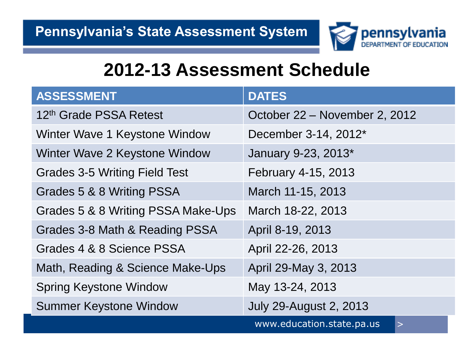

| <b>ASSESSMENT</b>                    | <b>DATES</b>                        |
|--------------------------------------|-------------------------------------|
| 12th Grade PSSA Retest               | October 22 – November 2, 2012       |
| Winter Wave 1 Keystone Window        | December 3-14, 2012*                |
| Winter Wave 2 Keystone Window        | January 9-23, 2013*                 |
| <b>Grades 3-5 Writing Field Test</b> | February 4-15, 2013                 |
| Grades 5 & 8 Writing PSSA            | March 11-15, 2013                   |
| Grades 5 & 8 Writing PSSA Make-Ups   | March 18-22, 2013                   |
| Grades 3-8 Math & Reading PSSA       | April 8-19, 2013                    |
| Grades 4 & 8 Science PSSA            | April 22-26, 2013                   |
| Math, Reading & Science Make-Ups     | April 29-May 3, 2013                |
| <b>Spring Keystone Window</b>        | May 13-24, 2013                     |
| <b>Summer Keystone Window</b>        | <b>July 29-August 2, 2013</b>       |
|                                      | www.education.state.pa.us<br>$\geq$ |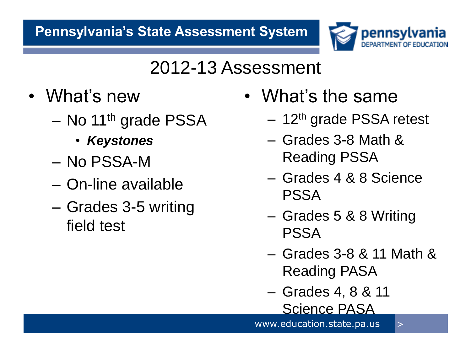

### 2012-13 Assessment

- What's new
	- No 11<sup>th</sup> grade PSSA
		- *Keystones*
	- No PSSA-M
	- On-line available
	- Grades 3-5 writing field test
- What's the same
	- $-12$ <sup>th</sup> grade PSSA retest
	- Grades 3-8 Math & Reading PSSA
	- Grades 4 & 8 Science PSSA
	- Grades 5 & 8 Writing PSSA
	- Grades 3-8 & 11 Math & Reading PASA
	- Grades 4, 8 & 11 Science PASA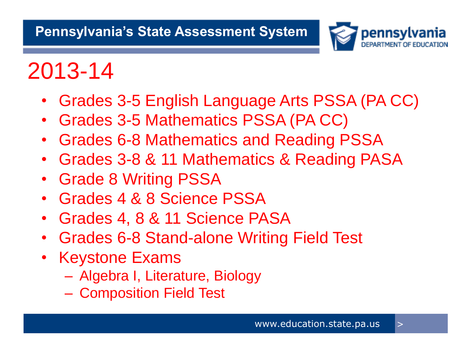

# 2013-14

- Grades 3-5 English Language Arts PSSA (PA CC)
- Grades 3-5 Mathematics PSSA (PA CC)
- Grades 6-8 Mathematics and Reading PSSA
- Grades 3-8 & 11 Mathematics & Reading PASA
- Grade 8 Writing PSSA
- Grades 4 & 8 Science PSSA
- Grades 4, 8 & 11 Science PASA
- Grades 6-8 Stand-alone Writing Field Test
- Keystone Exams
	- Algebra I, Literature, Biology
	- Composition Field Test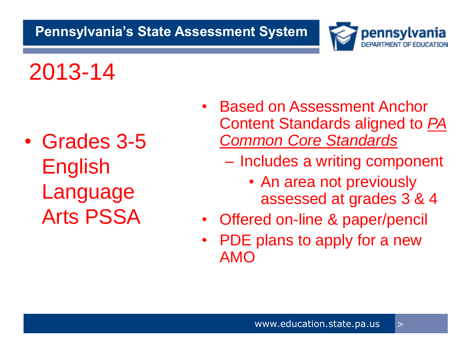

## 2013-14

• Grades 3-5 English Language Arts PSSA

- Based on Assessment Anchor Content Standards aligned to *PA Common Core Standards*
	- Includes a writing component
		- An area not previously assessed at grades 3 & 4
- Offered on-line & paper/pencil
- PDE plans to apply for a new AMO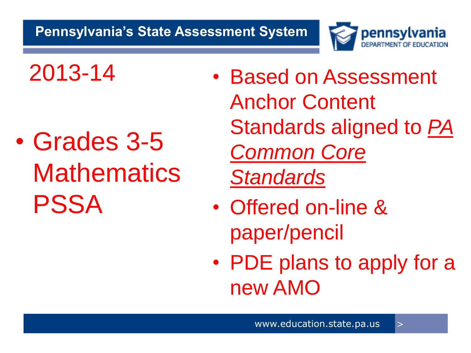

- Grades 3-5 **Mathematics** PSSA
- 2013-14 Based on Assessment Anchor Content Standards aligned to *PA Common Core Standards*
	- Offered on-line & paper/pencil
	- PDE plans to apply for a new AMO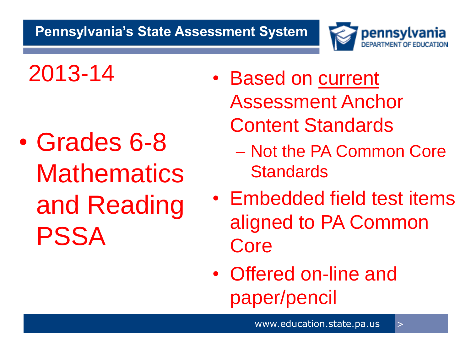

- Grades 6-8 **Mathematics** and Reading PSSA
- 2013-14 Based on current Assessment Anchor Content Standards
	- Not the PA Common Core **Standards**
	- Embedded field test items aligned to PA Common Core
	- Offered on-line and paper/pencil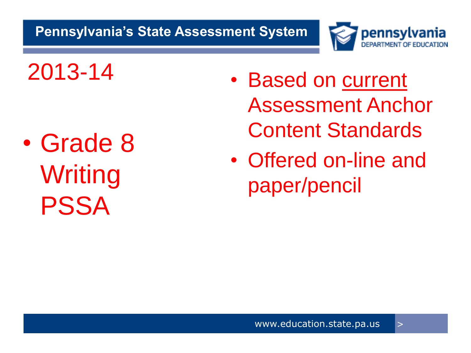

- Grade 8 **Writing** PSSA
- 2013-14 Based on current Assessment Anchor Content Standards
	- Offered on-line and paper/pencil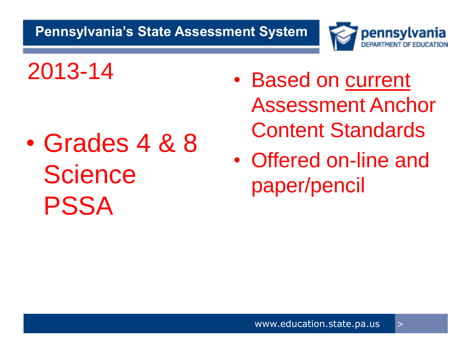

- Grades 4 & 8 **Science** PSSA
- 2013-14 Based on current Assessment Anchor Content Standards
	- Offered on-line and paper/pencil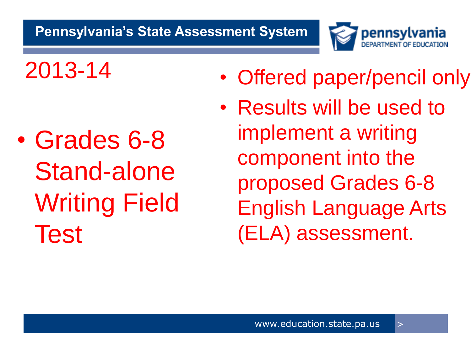

- 2013-14 Offered paper/pencil only
	- Results will be used to implement a writing component into the proposed Grades 6-8 English Language Arts (ELA) assessment.
- Grades 6-8 Stand-alone Writing Field Test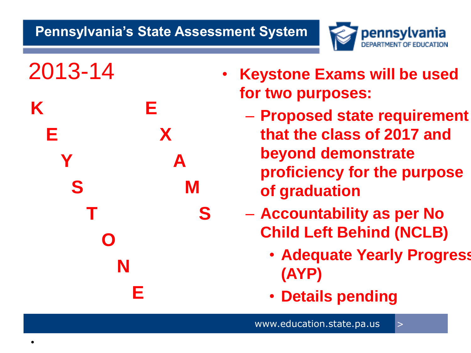

**K E E X x S** M **T** S  **O N E**

- 2013-14 **Keystone Exams will be used for two purposes:**
	- **Proposed state requirement that the class of 2017 and beyond demonstrate proficiency for the purpose of graduation**
	- **Accountability as per No Child Left Behind (NCLB)**
		- **Adequate Yearly Progress (AYP)**
		- **Details pending**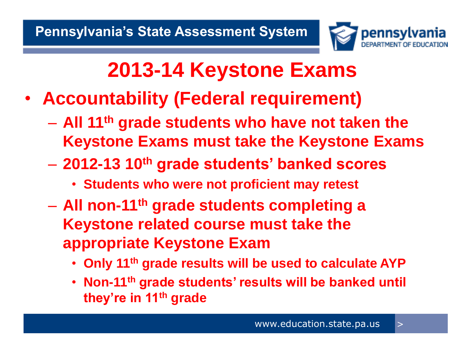

### **2013-14 Keystone Exams**

- **Accountability (Federal requirement)**
	- **All 11th grade students who have not taken the Keystone Exams must take the Keystone Exams**
	- **2012-13 10th grade students' banked scores**
		- **Students who were not proficient may retest**
	- **All non-11th grade students completing a Keystone related course must take the appropriate Keystone Exam**
		- **Only 11th grade results will be used to calculate AYP**
		- **Non-11th grade students' results will be banked until they're in 11th grade**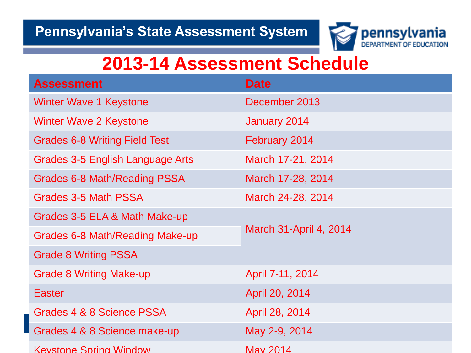

| <b>Assessment</b>                    | <b>Date</b>            |  |
|--------------------------------------|------------------------|--|
| <b>Winter Wave 1 Keystone</b>        | December 2013          |  |
| Winter Wave 2 Keystone               | January 2014           |  |
| <b>Grades 6-8 Writing Field Test</b> | February 2014          |  |
| Grades 3-5 English Language Arts     | March 17-21, 2014      |  |
| Grades 6-8 Math/Reading PSSA         | March 17-28, 2014      |  |
| Grades 3-5 Math PSSA                 | March 24-28, 2014      |  |
| Grades 3-5 ELA & Math Make-up        | March 31-April 4, 2014 |  |
| Grades 6-8 Math/Reading Make-up      |                        |  |
| <b>Grade 8 Writing PSSA</b>          |                        |  |
| <b>Grade 8 Writing Make-up</b>       | April 7-11, 2014       |  |
| <b>Easter</b>                        | April 20, 2014         |  |
| Grades 4 & 8 Science PSSA            | April 28, 2014         |  |
| Grades 4 & 8 Science make-up         | May 2-9, 2014          |  |
| <b>Keystone Spring Window</b>        | May 2014               |  |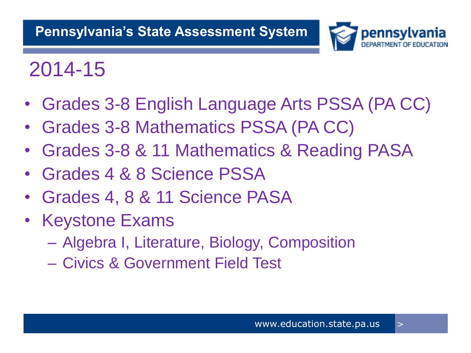

### 2014-15

- Grades 3-8 English Language Arts PSSA (PA CC)
- Grades 3-8 Mathematics PSSA (PA CC)
- Grades 3-8 & 11 Mathematics & Reading PASA
- Grades 4 & 8 Science PSSA
- Grades 4, 8 & 11 Science PASA
- Keystone Exams
	- Algebra I, Literature, Biology, Composition
	- Civics & Government Field Test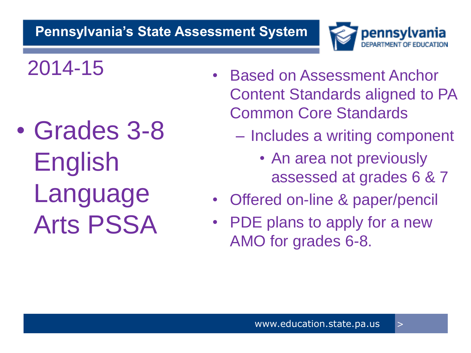

- Grades 3-8 English Language Arts PSSA
- 2014-15 Based on Assessment Anchor Content Standards aligned to PA Common Core Standards
	- Includes a writing component
		- An area not previously assessed at grades 6 & 7
	- Offered on-line & paper/pencil
	- PDE plans to apply for a new AMO for grades 6-8.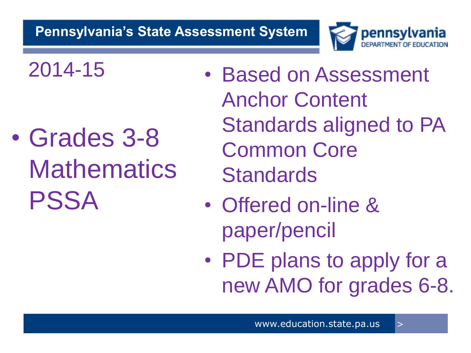

- Grades 3-8 **Mathematics** PSSA
- 2014-15 Based on Assessment Anchor Content Standards aligned to PA Common Core **Standards** 
	- Offered on-line & paper/pencil
	- PDE plans to apply for a new AMO for grades 6-8.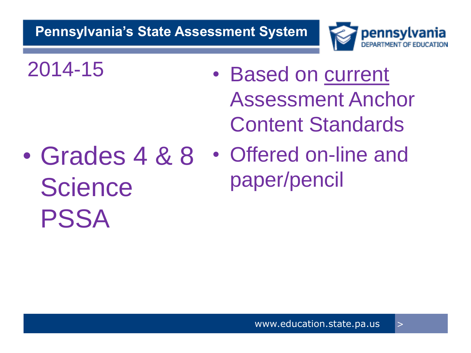

- 2014-15 Based on current Assessment Anchor Content Standards
- Grades 4 & 8 **Science** PSSA
- Offered on-line and paper/pencil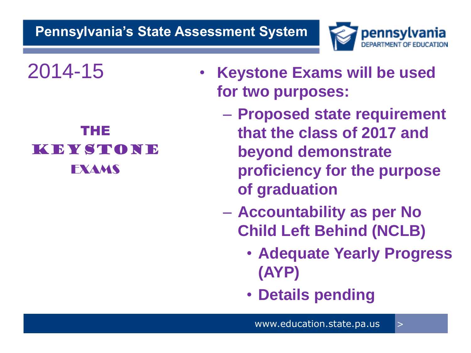

### THE KEYSTONE EXAMS

- 2014-15 **Keystone Exams will be used for two purposes:**
	- **Proposed state requirement that the class of 2017 and beyond demonstrate proficiency for the purpose of graduation**
	- **Accountability as per No Child Left Behind (NCLB)**
		- **Adequate Yearly Progress (AYP)**
		- **Details pending**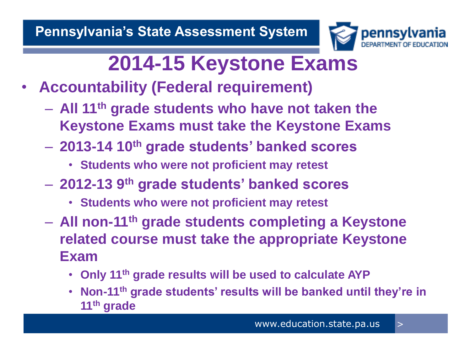

### **2014-15 Keystone Exams**

- **Accountability (Federal requirement)**
	- **All 11th grade students who have not taken the Keystone Exams must take the Keystone Exams**
	- **2013-14 10th grade students' banked scores**
		- **Students who were not proficient may retest**
	- **2012-13 9th grade students' banked scores**
		- **Students who were not proficient may retest**
	- **All non-11th grade students completing a Keystone related course must take the appropriate Keystone Exam**
		- **Only 11th grade results will be used to calculate AYP**
		- **Non-11th grade students' results will be banked until they're in 11th grade**